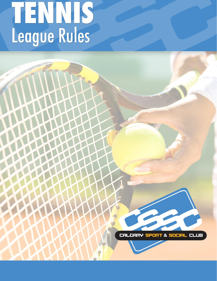# TENNIS<br>League Rules

CARY **PORT & SOCIA** CAl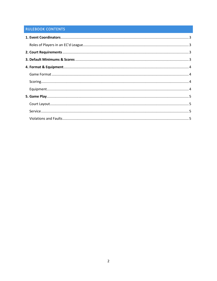# **RULEBOOK CONTENTS**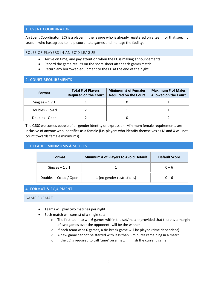# <span id="page-2-0"></span>1. EVENT COORDINATORS

An Event Coordinator (EC) is a player in the league who is already registered on a team for that specific season, who has agreed to help coordinate games and manage the facility.

## <span id="page-2-1"></span>ROLES OF PLAYERS IN AN EC'D LEAGUE

- Arrive on time, and pay attention when the EC is making announcements
- Record the game results on the score sheet after each game/match
- Return any borrowed equipment to the EC at the end of the night

# <span id="page-2-2"></span>2. COURT REQUIREMENTS

| <b>Format</b>    | <b>Total # of Players</b><br><b>Required on the Court</b> | <b>Minimum # of Females</b><br><b>Required on the Court</b> | <b>Maximum # of Males</b><br><b>Allowed on the Court</b> |  |
|------------------|-----------------------------------------------------------|-------------------------------------------------------------|----------------------------------------------------------|--|
| Singles $-1$ v 1 |                                                           |                                                             |                                                          |  |
| Doubles - Co-Ed  |                                                           |                                                             |                                                          |  |
| Doubles - Open   |                                                           |                                                             |                                                          |  |

The CSSC welcomes people of all gender identity or expression. Minimum female requirements are inclusive of anyone who identifies as a female (i.e. players who identify themselves as M and X will not count towards female minimums).

# <span id="page-2-3"></span>3. DEFAULT MINIMUMS & SCORES

| Format                 | Minimum # of Players to Avoid Default | <b>Default Score</b> |  |
|------------------------|---------------------------------------|----------------------|--|
| Singles $-1$ v 1       |                                       | $0 - 6$              |  |
| Doubles – Co-ed / Open | 1 (no gender restrictions)            | $0 - 6$              |  |

# <span id="page-2-4"></span>4. FORMAT & EQUIPMENT

#### <span id="page-2-5"></span>GAME FORMAT

- Teams will play two matches per night
- Each match will consist of a single set:
	- $\circ$  The first team to win 6 games within the set/match (provided that there is a margin of two games over the opponent) will be the winner
	- o If each team wins 6 games, a tie-break game will be played (time dependent)
	- $\circ$  A new game cannot be started with less than 5 minutes remaining in a match
	- o If the EC is required to call 'time' on a match, finish the current game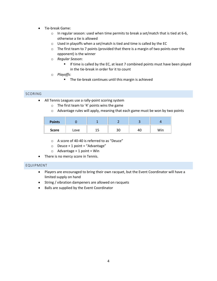- Tie-break Game:
	- $\circ$  In regular season: used when time permits to break a set/match that is tied at 6-6, otherwise a tie is allowed
	- o Used in playoffs when a set/match is tied and time is called by the EC
	- o The first team to 7 points (provided that there is a margin of two points over the opponent) is the winner
	- o *Regular Season*:
		- **EXTE:** If time is called by the EC, at least 7 combined points must have been played in the tie-break in order for it to count
	- o *Playoffs*:
		- The tie-break continues until this margin is achieved

# <span id="page-3-0"></span>SCORING

- All Tennis Leagues use a rally-point scoring system
	- o The first team to '4' points wins the game
	- $\circ$  Advantage rules will apply, meaning that each game must be won by two points

| <b>Points</b> |      |    |    |    |     |
|---------------|------|----|----|----|-----|
| <b>Score</b>  | Love | -- | 3U | 40 | Win |

- o A score of 40-40 is referred to as "Deuce"
- $\circ$  Deuce + 1 point = "Advantage"
- $\circ$  Advantage + 1 point = Win
- There is no mercy score in Tennis.

# <span id="page-3-1"></span>EQUIPMENT

- Players are encouraged to bring their own racquet, but the Event Coordinator will have a limited supply on hand
- String / vibration dampeners are allowed on racquets
- Balls are supplied by the Event Coordinator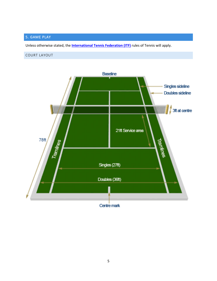# <span id="page-4-0"></span>5. GAME PLAY

Unless otherwise stated, the **[International Tennis Federation \(ITF\)](http://www.itftennis.com/media/220771/220771.pdf)** rules of Tennis will apply.

# <span id="page-4-1"></span>COURT LAYOUT

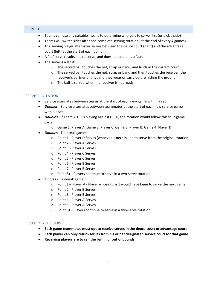# <span id="page-5-0"></span>SERVICE

- Teams can use any suitable means to determine who gets to serve first (or pick a side)
- Teams will switch sides after one complete serving rotation (at the end of every 4 games)
- The serving player alternates serves between the deuce court (right) and the advantage court (left) at the start of each point
- A 'let' serve results in a re-serve, and does not count as a fault
- The serve is a let if:
	- o The served ball touches the net, strap or band, and lands in the correct court
	- $\circ$  The served ball touches the net, strap or band and then touches the receiver, the receiver's partner or anything they wear or carry before hitting the ground
	- o The ball is served when the receiver is not ready

## SERVICE ROTATION

- Service alternates between teams at the start of each new game within a set
- *Doubles*  Service alternates between teammates at the start of each new service game within a set
- *Doubles*  If Team A + B is playing against C + D, the rotation would follow this four-game cycle:
	- o Game 1: Player A, Game 2: Player C, Game 3: Player B, Game 4: Player D
- *Doubles*  Tie-break game:
	- $\circ$  Point 1 Player D Serves (whoever is next in line to serve from the original rotation)
	- o Point 2 Player A Serves
	- o Point 3 Player A Serves
	- o Point 4 Player C Serves
	- o Point 5 Player C Serves
	- o Point 6 Player B Serves
	- o Point 7 Player B Serves
	- o Point 8+ Players continue to serve in a two-serve rotation
- *Singles*  Tie-break game:
	- $\circ$  Point 1 Player A Player whose turn it would have been to serve the next game
	- o Point 2 Player B Serves
	- o Point 3 Player B Serves
	- o Point 4 Player A Serves
	- o Point 5 Player A Serves
	- o Point 6+ Players continue to serve in a two-serve rotation

#### RECEIVING THE SERVE

- **Each game teammates must opt to receive serves in the deuce court or advantage court**
- **Each player can only return serves from his or her designated service court for that game**
- **Receiving players are to call the ball in or out of bounds**